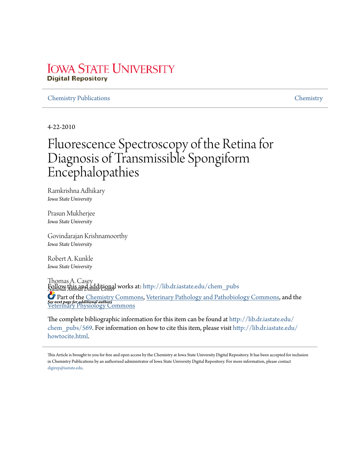### **IOWA STATE UNIVERSITY Digital Repository**

#### Chemistry Publications Chemistry

4-22-2010

# Fluorescence Spectroscopy of the Retina for Diagnosis of Transmissible Spongiform Encephalopathies

Ramkrishna Adhikary *Iowa State University*

Prasun Mukherjee *Iowa State University*

Govindarajan Krishnamoorthy *Iowa State University*

Robert A. Kunkle *Iowa State University*

Thomas A. Casey *National Animal Disease Center* Follow this and additional works at: http://lib.dr.iastate.edu/chem\_pubs *See next page for additional authors* Part of the Chemistry Commons, Veterinary Pathology and Pathobiology Commons, and the Veterinary Physiology Commons

The complete bibliographic information for this item can be found at http://lib.dr.iastate.edu/ chem\_pubs/569. For information on how to cite this item, please visit http://lib.dr.iastate.edu/ howtocite.html.

This Article is brought to you for free and open access by the Chemistry at Iowa State University Digital Repository. It has been accepted for inclusion in Chemistry Publications by an authorized administrator of Iowa State University Digital Repository. For more information, please contact digirep@iastate.edu.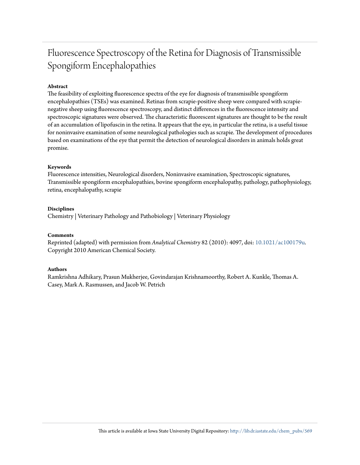## Fluorescence Spectroscopy of the Retina for Diagnosis of Transmissible Spongiform Encephalopathies

#### **Abstract**

The feasibility of exploiting fluorescence spectra of the eye for diagnosis of transmissible spongiform encephalopathies (TSEs) was examined. Retinas from scrapie-positive sheep were compared with scrapienegative sheep using fluorescence spectroscopy, and distinct differences in the fluorescence intensity and spectroscopic signatures were observed. The characteristic fluorescent signatures are thought to be the result of an accumulation of lipofuscin in the retina. It appears that the eye, in particular the retina, is a useful tissue for noninvasive examination of some neurological pathologies such as scrapie. The development of procedures based on examinations of the eye that permit the detection of neurological disorders in animals holds great promise.

#### **Keywords**

Fluorescence intensities, Neurological disorders, Noninvasive examination, Spectroscopic signatures, Transmissible spongiform encephalopathies, bovine spongiform encephalopathy, pathology, pathophysiology, retina, encephalopathy, scrapie

#### **Disciplines**

Chemistry | Veterinary Pathology and Pathobiology | Veterinary Physiology

#### **Comments**

Reprinted (adapted) with permission from *Analytical Chemistry* 82 (2010): 4097, doi: 10.1021/ac100179u. Copyright 2010 American Chemical Society.

#### **Authors**

Ramkrishna Adhikary, Prasun Mukherjee, Govindarajan Krishnamoorthy, Robert A. Kunkle, Thomas A. Casey, Mark A. Rasmussen, and Jacob W. Petrich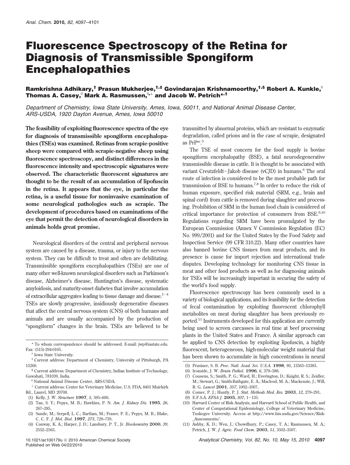### Fluorescence Spectroscopy of the Retina for Diagnosis of Transmissible Spongiform Encephalopathies

#### Ramkrishna Adhikary,<sup>†</sup> Prasun Mukherjee,<sup>†,‡</sup> Govindarajan Krishnamoorthy,<sup>†,§</sup> Robert A. Kunkle,<sup>||</sup> Thomas A. Casey,<sup>"</sup> Mark A. Rasmussen,<sup>",⊥</sup> and Jacob W. Petrich\*<sup>,†</sup>

Department of Chemistry, Iowa State University, Ames, Iowa, 50011, and National Animal Disease Center, ARS-USDA, 1920 Dayton Avenue, Ames, Iowa 50010

**The feasibility of exploiting fluorescence spectra of the eye for diagnosis of transmissible spongiform encephalopathies (TSEs) was examined. Retinas from scrapie-positive sheep were compared with scrapie-negative sheep using fluorescence spectroscopy, and distinct differences in the fluorescence intensity and spectroscopic signatures were observed. The characteristic fluorescent signatures are thought to be the result of an accumulation of lipofuscin in the retina. It appears that the eye, in particular the retina, is a useful tissue for noninvasive examination of some neurological pathologies such as scrapie. The development of procedures based on examinations of the eye that permit the detection of neurological disorders in animals holds great promise.**

Neurological disorders of the central and peripheral nervous system are caused by a disease, trauma, or injury to the nervous system. They can be difficult to treat and often are debilitating. Transmissible spongiform encephalopathies (TSEs) are one of many other well-known neurological disorders such as Parkinson's disease, Alzheimer's disease, Huntington's disease, systematic amyloidosis, and maturity-onset diabetes that involve accumulation of extracellular aggregates leading to tissue damage and disease. $1-4$ TSEs are slowly progressive, insidiously degenerative diseases that affect the central nervous system (CNS) of both humans and animals and are usually accompanied by the production of "spongiform" changes in the brain. TSEs are believed to be

- (2) Tan, S. Y.; Pepys, M. B.; Hawkins, P. N. *Am. J. Kidney Dis.* **1995**, *26*, 267–285.
- (3) Sunde, M.; Serpell, L. C.; Bartlam, M.; Fraser, P. E.; Pepys, M. B.; Blake, C. C. F. *J. Mol. Biol.* **1997**, *273*, 729–739.
- (4) Conway, K. A.; Harper, J. D.; Lansbury, P. T., Jr. *Biochemistry* **2000**, *39*, 2552–2563.

Published on Web 04/22/2010

transmitted by abnormal proteins, which are resistant to enzymatic degradation, called prions and in the case of scrapie, designated as PrPsc . 5

The TSE of most concern for the food supply is bovine spongiform encephalopathy (BSE), a fatal neurodegenerative transmissible disease in cattle. It is thought to be associated with variant Creutzfeldt-Jakob disease (vCJD) in humans.<sup>6</sup> The oral route of infection is considered to be the most probable path for transmission of BSE to humans.7,8 In order to reduce the risk of human exposure, specified risk material (SRM, e.g., brain and spinal cord) from cattle is removed during slaughter and processing. Prohibition of SRM in the human food chain is considered of critical importance for protection of consumers from BSE.<sup>9,10</sup> Regulations regarding SRM have been promulgated by the European Commission (Annex V Commission Regulation (EC) No. 999/2001) and for the United States by the Food Safety and Inspection Service (99 CFR 310.22). Many other countries have also banned bovine CNS tissues from meat products, and its presence is cause for import rejection and international trade disputes. Developing technology for monitoring CNS tissue in meat and other food products as well as for diagnosing animals for TSEs will be increasingly important in securing the safety of the world's food supply.

Fluorescence spectroscopy has been commonly used in a variety of biological applications, and its feasibility for the detection of fecal contamination by exploiting fluorescent chlorophyll metabolites on meat during slaughter has been previously reported.<sup>11</sup> Instruments developed for this application are currently being used to screen carcasses in real time at beef processing plants in the United States and France. A similar approach can be applied to CNS detection by exploiting lipofuscin, a highly fluorescent, heterogeneous, high-molecular weight material that has been shown to accumulate in high concentrations in neural

- (8) Comer, P. J.; Huntly, P. J. *Stat. Methods Med. Res.* **2003**, *12*, 279–291.
- (9) E.F.S.A. *EFSA J.* **2005**, *307*, 1-135.
- (10) Harvard Center of Risk Analysis, and Harvard School of Public Health, and Center of Computational Epidemiology, College of Veterinary Medicine, Tuskegee University. Access at http://www.fsis.usda.gov/Science/Risk- \_Assessments/.
- (11) Ashby, K. D.; Wen, J.; Chowdhury, P.; Casey, T. A.; Rasmussen, M. A.; Petrich, J. W. *J. Agric. Food Chem.* **2003**, *51*, 3502–3507.

10.1021/ac100179u 2010 American Chemical Society Analytical Chemistry, Vol. 82, No. 10, May 15, <sup>2010</sup> **4097**

<sup>\*</sup> To whom correspondence should be addressed. E-mail: jwp@iastate.edu. Fax: (515)-294-0105.

<sup>†</sup> Iowa State University.

<sup>‡</sup> Current address: Department of Chemistry, University of Pittsburgh, PA 15260.

<sup>§</sup> Current address: Department of Chemistry, Indian Institute of Technology, Guwahati, 781039, India.

<sup>|</sup> National Animal Disease Center, ARS-USDA.

 $^\perp$  Current address: Center for Veterinary Medicine, U.S. FDA, 8401 Muirkirk Rd., Laurel, MD 20708.

<sup>(1)</sup> Kelly, J. W. *Structure* **1997**, *5*, 595–600.

<sup>(5)</sup> Prusiner, S. B. *Proc. Natl. Acad. Sci. U.S.A.* **1998**, *95*, 13363–13383.

<sup>(6)</sup> Ironside, J. W. *Brain Pathol.* **1996**, *6*, 379–388.

<sup>(7)</sup> Cousens, S.; Smith, P. G.; Ward, H.; Everington, D.; Knight, R. S.; Zeidler, M.; Stewart, G.; Smith-Bathgate, E. A.; Macleod, M. A.; Mackenzie, J.; Will, R. G. *Lancet* **2001**, *357*, 1002–1007.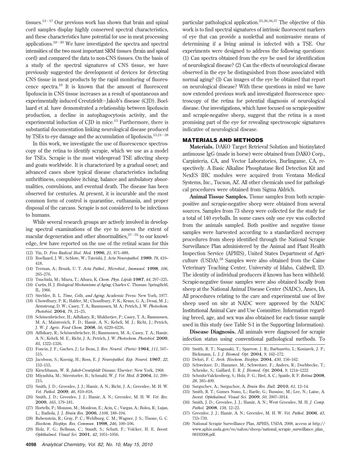tissues.<sup>12-17</sup> Our previous work has shown that brain and spinal cord samples display highly conserved spectral characteristics, and these characteristics have potential for use in meat processing applications. $18-20$  We have investigated the spectra and spectral intensities of the two most important SRM tissues (brain and spinal cord) and compared the data to non-CNS tissues. On the basis of a study of the spectral signatures of CNS tissue, we have previously suggested the development of devices for detecting CNS tissue in meat products by the rapid monitoring of fluorescence spectra.<sup>19</sup> It is known that the amount of fluorescent lipofuscin in CNS tissue increases as a result of spontaneous and experimentally induced Creutzfeldt-Jakob's disease (CJD). Boellaard et al. have demonstrated a relationship between lipofuscin production, a decline in autophagocytosis activity, and the experimental induction of CJD in mice.<sup>13</sup> Furthermore, there is substantial documentation linking neurological disease produced by TSEs to eye damage and the accumulation of lipofuscin.13,21-<sup>28</sup>

In this work, we investigate the use of fluorescence spectroscopy of the retina to identify scrapie, which we use as a model for TSEs. Scrapie is the most widespread TSE affecting sheep and goats worldwide. It is characterized by a gradual onset; and advanced cases show typical disease characteristics including unthriftiness, compulsive itching, balance and ambulatory abnormalities, convulsions, and eventual death. The disease has been observed for centuries. At present, it is incurable and the most common form of control is quarantine, euthanasia, and proper disposal of the carcass. Scrapie is not considered to be infectious to humans.

While several research groups are actively involved in developing spectral examinations of the eye to assess the extent of macular degeneration and other abnormalities,  $27-35$  to our knowledge, few have reported on the use of the retinal scans for this

- (12) Yin, D. *Free Radical Biol. Med.* **1996**, *21*, 871–888.
- (13) Boellaard, J. W.; Schlote, W.; Tateishi, J. *Acta Neuropathol.* **1989**, *78*, 410– 418.
- (14) Terman, A.; Brunk, U. T. *Acta Pathol., Microbiol., Immunol.* **1998**, *106*, 265–276.
- (15) Tsuchida, M.; Miura, T.; Aibara, K. *Chem. Phys. Lipids* **1987**, *44*, 297–325.
- (16) Curtis, H. J. *Biological Mechanisms of Aging*; Charles C. Thomas: Springfield, IL, 1966.
- (17) Strehler, B. L. *Time, Cells, and Aging*; Academic Press: New York, 1977.
- (18) Chowdhury, P. K.; Halder, M.; Choudhury, P. K.; Kraus, G. A.; Desai, M. J.; Armstrong, D. W.; Casey, T. A.; Rasmussen, M. A.; Petrich, J. W. *Photochem. Photobiol.* **2004**, *79*, 21–25.
- (19) Schönenbrücher, H.; Adhikary, R.; Mukherjee, P.; Casey, T. A.; Rasmussen, M. A.; Maistrovich, F. D.; Hamir, A. N.; Kehrli, M. J.; Richt, J.; Petrich, J. W. *J. Agric. Food Chem.* **2008**, *56*, 6220–6226.
- (20) Adhikary, R.; Schönenbrücher, H.; Rasmussen, M. A.; Casey, T. A.; Hamir, A. N.; Kehrli, M. E.; Richt, J. A.; Petrich, J. W. *Photochem. Photobiol.* **2009**, *85*, 1322–1326.
- (21) Foncin, J. F.; Gaches, J.; Le Beau, J. *Rev. Neurol. (Paris)* **1964**, *111*, 507– 515.
- (22) Jacobson, S.; Koenig, H.; Ross, E. *J. Neuropathol. Exp. Neurol.* **1967**, *22*, 152–153.
- (23) Kirschbaum, W. R. *Jakob-Creutzfeldt Disease*; Elsevier: New York, 1968.
- (24) Miyashita, M.; Stierstorfer, B.; Schmahl, W. *J. Vet. Med. B* **2004**, *51*, 209– 215.
- (25) Smith, J. D.; Greenlee, J. J.; Hamir, A. N.; Richt, J. A.; Greenlee, M. H. W. *Vet. Pathol.* **2009**, *46*, 810–818.
- (26) Smith, J. D.; Greenlee, J. J.; Hamir, A. N.; Greenlee, M. H. W. *Vet. Rec.* **2009**, *165*, 179–181.
- (27) Hortells, P.; Monzon, M.; Monleon, E.; Acin, C.; Vargas, A.; Bolea, R.; Lujan, L.; Badiola, J. J. *Brain Res.* **2006**, *1108*, 188–194.
- Rubenstein, R.; Gray, P. C.; Wehlburg, C. M.; Wagner, J. S.; Tisone, G. C. *Biochem. Biophys. Res. Commun.* **1998**, *246*, 100–106.
- (29) Holz, F. G.; Bellman, C.; Staudt, S.; Schutt, F.; Volcker, H. E. *Invest. Ophthalmol. Visual Sci.* **2001**, *42*, 1051–1056.

particular pathological application.25,26,36,37 The objective of this work is to find spectral signatures of intrinsic fluorescent markers of eye that can provide a nonlethal and noninvasive means of determining if a living animal is infected with a TSE. Our experiments were designed to address the following questions: (1) Can spectra obtained from the eye be used for identification of neurological disease? (2) Can the effects of neurological disease observed in the eye be distinguished from those associated with normal aging? (3) Can images of the eye be obtained that report on neurological disease? With these questions in mind we have now extended previous work and investigated fluorescence spectroscopy of the retina for potential diagnosis of neurological disease. Our investigations, which have focused on scrapie-positive and scrapie-negative sheep, suggest that the retina is a most promising part of the eye for revealing spectroscopic signatures indicative of neurological disease.

#### MATERIALS AND METHODS

**Materials.** DAKO Target Retrieval Solution and biotinylated antimouse IgG (made in horse) were obtained from DAKO Corp., Carpinteria, CA, and Vector Laboratories, Burlingame, CA, respectively. A Basic Alkaline Phosphatase Red Detection Kit and NexES IHC modules were acquired from Ventana Medical Systems, Inc., Tucson, AZ. All other chemicals used for pathological procedures were obtained from Sigma Aldrich.

**Animal Tissue Samples.** Tissue samples from both scrapiepositive and scrapie-negative sheep were obtained from several sources. Samples from 73 sheep were collected for the study for a total of 140 eyeballs. In some cases only one eye was collected from the animals sampled. Both positive and negative tissue samples were harvested according to a standardized necropsy procedures from sheep identified through the National Scrapie Surveillance Plan administered by the Animal and Plant Health Inspection Service (APHIS), United States Department of Agriculture (USDA).<sup>38</sup> Samples were also obtained from the Caine Veterinary Teaching Center, University of Idaho, Caldwell, ID. The identity of individual producers if known has been withheld. Scrapie-negative tissue samples were also obtained locally from sheep at the National Animal Disease Center (NADC), Ames, IA. All procedures relating to the care and experimental use of live sheep used on site at NADC were approved by the NADC Institutional Animal Care and Use Committee. Information regarding breed, age, and sex was also obtained for each tissue sample used in this study (see Table S-1 in the Supporting Information).

**Disease Diagnosis.** All animals were diagnosed for scrapie infection status using conventional pathological methods. To

- (30) Smith, R. T.; Nagasaki, T.; Sparrow, J. R.; Barbazetto, I.; Koniarek, J. P.; Bickmann, L. J. *J. Biomed. Opt.* **2004**, *9*, 162–172.
- (31) Delori, F. C. *Arch. Biochem. Biophys.* **2004**, *430*, 156–162.
- (32) Schweitzer, D.; Hammer, M.; Schweitzer, F.; Anders, R.; Doebbecke, T.; Schenke, S.; Gaillard, E. R. *J. Biomed. Opt.* **2004**, *9*, 1214–1222.
- (33) Schmitz-Valckenberg, S.; Holz, F. G.; Bird, A. C.; Spaide, R. F. *Retina* **2008**, *28*, 385–409.
- (34) Surguchev, A.; Surguchov, A. *Brain Res. Bull.* **2010**, *81*, 12–14.
- (35) Smith, R. T.; Gomes Nuno, L.; Barile, G.; Busuioc, M.; Lee, N.; Laine, A. *Invest. Ophthalmol. Visual Sci.* **2009**, *50*, 3907–3914.
- (36) Smith, J. D.; Greenlee, J. J.; Hamir, A. N.; West Greenlee, M. H. *J. Comp. Pathol.* **2008**, *138*, 12–22.
- (37) Greenlee, J. J.; Hamir, A. N.; Greenlee, M. H. W. *Vet. Pathol.* **2006**, *43*, 733–739.
- (38) National Scrapie Surveillance Plan, APHIS, USDA. 2008, access at http:// www.aphis.usda.gov/vs/nahss/sheep/national\_scrapie\_surveillance\_plan\_ 08192008.pdf.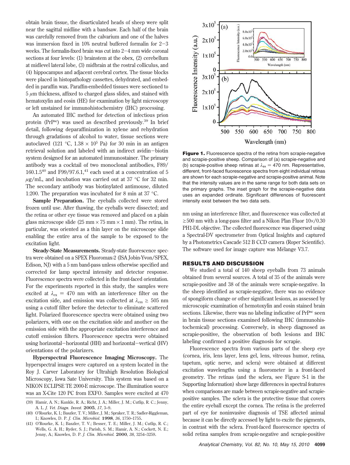obtain brain tissue, the disarticulated heads of sheep were split near the sagittal midline with a bandsaw. Each half of the brain was carefully removed from the calvarium and one of the halves was immersion fixed in 10% neutral buffered formalin for 2-3 weeks. The formalin-fixed brain was cut into 2-4 mm wide coronal sections at four levels: (1) brainstem at the obex, (2) cerebellum at midlevel lateral lobe, (3) midbrain at the rostral colliculus, and (4) hippocampus and adjacent cerebral cortex. The tissue blocks were placed in histopathology cassettes, dehydrated, and embedded in paraffin wax. Paraffin-embedded tissues were sectioned to  $5 \mu$ m thickness, affixed to charged glass slides, and stained with hematoxylin and eosin (HE) for examination by light microscopy or left unstained for immunohistochemistry (IHC) processing.

An automated IHC method for detection of infectious prion protein (PrPsc) was used as described previously.<sup>39</sup> In brief detail, following deparaffinization in xylene and rehydration through gradations of alcohol to water, tissue sections were autoclaved (121 °C, 1.38  $\times$  10<sup>5</sup> Pa) for 30 min in an antigen retrieval solution and labeled with an indirect avidin-biotin system designed for an automated immunostainer. The primary antibody was a cocktail of two monoclonal antibodies, F89/  $160.1.5^{40}$  and F99/97.6.1,<sup>41</sup> each used at a concentration of 5  $\mu$ g/mL, and incubation was carried out at 37 °C for 32 min. The secondary antibody was biotinylated antimouse, diluted 1:200. The preparation was incubated for 8 min at 37 °C.

**Sample Preparation.** The eyeballs collected were stored frozen until use. After thawing, the eyeballs were dissected; and the retina or other eye tissue was removed and placed on a plain glass microscope slide (25 mm  $\times$  75 mm  $\times$  1 mm). The retina, in particular, was oriented as a thin layer on the microscope slide enabling the entire area of the sample to be exposed to the excitation light.

**Steady-State Measurements.** Steady-state fluorescence spectra were obtained on a SPEX Fluoromax-2 (ISA Jobin-Yvon/SPEX, Edison, NJ) with a 5 nm band-pass unless otherwise specified and corrected for lamp spectral intensity and detector response. Fluorescence spectra were collected in the front-faced orientation. For the experiments reported in this study, the samples were excited at  $\lambda_{\rm ex} = 470$  nm with an interference filter on the excitation side, and emission was collected at  $\lambda_{\rm em} \geq 505$  nm using a cutoff filter before the detector to eliminate scattered light. Polarized fluorescence spectra were obtained using two polarizers, with one on the excitation side and another on the emission side with the appropriate excitation interference and cutoff emission filters. Fluorescence spectra were obtained using horizontal-horizontal (HH) and horizontal-vertical (HV) orientations of the polarizers.

**Hyperspectral Fluorescence Imaging Microscopy.** The hyperspectral images were captured on a system located in the Roy J. Carver Laboratory for Ultrahigh Resolution Biological Microscopy, Iowa Sate University. This system was based on a NIKON ECLIPSE TE 2000-E microscope. The illumination source was an X-Cite 120 PC from EXFO. Samples were excited at 470



<sup>(40)</sup> O'Rourke, K. I.; Baszler, T. V.; Miller, J. M.; Spraker, T. R.; Sadler-Riggleman, I.; Knowles, D. P. *J. Clin. Microbiol.* **1998**, *36*, 1750–1755.



Figure 1. Fluorescence spectra of the retina from scrapie-negative and scrapie-positive sheep. Comparison of (a) scrapie-negative and (b) scrapie-positive sheep retinas at  $\lambda_{ex} = 470$  nm. Representative, different, front-faced fluorescence spectra from eight individual retinas are shown for each scrapie-negative and scrapie-positive animal. Note that the intensity values are in the same range for both data sets on the primary graphs. The inset graph for the scrapie-negative data uses an expanded ordinate. Significant differences of fluorescent intensity exist between the two data sets.

nm using an interference filter, and fluorescence was collected at  $\geq$ 500 nm with a long-pass filter and a Nikon Plan Fluor 10 $\times$ /0.30 PH1-DL objective. The collected fluorescence was dispersed using a Spectral-DV spectrometer from Optical Insights and captured by a Photometrics Cascade 512 B CCD camera (Roper Scientific). The software used for image capture was Mélange V3.7.

#### RESULTS AND DISCUSSION

We studied a total of 140 sheep eyeballs from 73 animals obtained from several sources. A total of 35 of the animals were scrapie-positive and 38 of the animals were scrapie-negative. In the sheep identified as scrapie-negative, there was no evidence of spongiform change or other significant lesions, as assessed by microscopic examination of hemotoxylin and eosin stained brain sections. Likewise, there was no labeling indicative of PrP<sup>sc</sup> seen in brain tissue sections examined following IHC (immunohistochemical) processing. Conversely, in sheep diagnosed as scrapie-positive, the observation of both lesions and IHC labeling confirmed a positive diagnosis for scrapie.

Fluorescence spectra from various parts of the sheep eye (cornea, iris, lens layer, lens gel, lens, vitreous humor, retina, tapetum, optic nerve, and sclera) were obtained at different excitation wavelengths using a fluorometer in a front-faced geometry. The retinas (and the sclera, see Figure S-1 in the Supporting Information) show large differences in spectral features when comparisons are made between scrapie-negative and scrapiepositive samples. The sclera is the protective tissue that covers the entire eyeball except the cornea. The retina is the preferred part of eye for noninvasive diagnosis of TSE affected animal because it can be directly accessed by light to excite the pigments, in contrast with the sclera. Front-faced fluorescence spectra of solid retina samples from scrapie-negative and scrapie-positive

<sup>(41)</sup> O'Rourke, K. I.; Baszler, T. V.; Besser, T. E.; Miller, J. M.; Cutlip, R. C.; Wells, G. A. H.; Ryder, S. J.; Parish, S. M.; Hamir, A. N.; Cockett, N. E.; Jenny, A.; Knowles, D. P. *J. Clin. Microbiol.* **2000**, *38*, 3254–3259.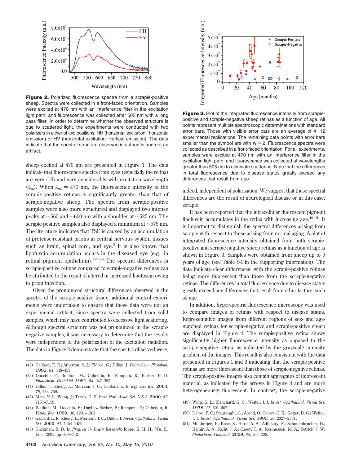

Figure 2. Polarized fluorescence spectra from a scrapie-positive sheep. Spectra were collected in a front-faced orientation. Samples were excited at 470 nm with an interference filter in the excitation light path, and fluorescence was collected after 505 nm with a long pass filter. In order to determine whether the observed structure is due to scattered light, the experiments were conducted with two polarizers in either of two positions: HH (horizontal excitation-horizontal emission) or HV (horizontal excitation-vertical emission). The data indicate that the spectral structure observed is authentic and not an artifact.

sheep excited at 470 nm are presented in Figure 1. The data indicate that fluorescence spectra from eyes (especially the retina) are very rich and vary considerably with excitation wavelength  $(\lambda_{\rm ex})$ . When  $\lambda_{\rm ex} = 470$  nm, the fluorescence intensity of the scrapie-positive retinas is significantly greater than that of scrapie-negative sheep. The spectra from scrapie-positive samples were also more structured and displayed two intense peaks at ∼560 and ∼600 nm with a shoulder at ∼525 nm. The scrapie-positive samples also displayed a minimum at ∼575 nm. The literature indicates that TSE is caused by an accumulation of protease-resistant prions in central nervous system tissues such as brain, spinal cord, and eye.<sup>5</sup> It is also known that lipofuscin accumulation occurs in the diseased eye (e.g., in retinal pigment epithelium).42-<sup>48</sup> The spectral differences in scrapie-positive retinas compared to scrapie-negative retinas can be attributed to the result of altered or increased lipofuscin owing to prion infection.

Given the pronounced structural differences observed in the spectra of the scrapie-positive tissue, additional control experiments were undertaken to ensure that these data were not an experimental artifact, since spectra were collected from solid samples, which may have contributed to excessive light scattering. Although spectral structure was not pronounced in the scrapienegative samples, it was necessary to determine that the results were independent of the polarization of the excitation radiation. The data in Figure 2 demonstrate that the spectra observed were,

- (42) Gaillard, E. R.; Atherton, S. J.; Eldred, G.; Dillon, J. *Photochem. Photobiol.* **1995**, *61*, 448–453.
- (43) Docchio, F.; Boulton, M.; Cubeddu, R.; Ramponi, R.; Barker, P. D. *Photochem. Photobiol.* **1991**, *54*, 247–253.
- (44) Dillon, J.; Zheng, L.; Merriam, J. C.; Gaillard, E. R. *Exp. Eye Res.* **2004**, *79*, 753–759.
- (45) Mata, N. L.; Weng, J.; Travis, G. H. *Proc. Natl. Acad. Sci. U.S.A.* **2000**, *97*, 7154–7159.
- (46) Boulton, M.; Docchio, F.; Dayhaw-Barker, P.; Ramponi, R.; Cubeddu, R. *Vision Res.* **1990**, *30*, 1291–1303.
- (47) Gaillard, E. R.; Zheng, L.; Merriam, J. C.; Dillon, J. *Invest. Ophthalmol. Visual Sci.* **2000**, *41*, 1454–1459.
- (48) Glickman, R. D. In *Progress in Brain Research*; Ripps, K. H. H., Wu, S., Eds., 2001; pp 699-712.



Figure 3. Plot of the integrated fluorescence intensity from scrapiepositive and scrapie-negative sheep retinas as a function of age. All points represent multiple spectroscopic determinations with standard error bars. Those with visible error bars are an average of  $4-12$ experimental replications. The remaining data points with error bars smaller than the symbol are with  $N = 2$ . Fluorescence spectra were collected as described in a front-faced orientation. For all experiments, samples were excited at 470 nm with an interference filter in the excitation light path, and fluorescence was collected at wavelengths greater than 505 nm to eliminate scattering. Note that the differences in total fluorescence due to disease status greatly exceed any differences that result from age.

indeed, independent of polarization. We suggest that these spectral differences are the result of neurological disease or in this case, scrapie.

It has been reported that the intracellular fluorescent pigment lipofuscin accumulates in the retina with increasing age.49-<sup>51</sup> It is important to distinguish the spectral differences arising from scrapie with respect to those arising from normal aging. A plot of integrated fluorescence intensity obtained from both scrapiepositive and scrapie-negative sheep retinas as a function of age is shown in Figure 3. Samples were obtained from sheep up to 9 years of age (see Table S-1 in the Supporting Information). The data indicate clear differences, with the scrapie-positive retinas being more fluorescent than those from the scrapie-negative retinas. The differences in total fluorescence due to disease status greatly exceed any differences that result from other factors, such as age.

In addition, hyperspectral fluorescence microscopy was used to compare images of retinas with respect to disease status. Representative images from different regions of sex- and agematched retinas for scrapie-negative and scrapie-positive sheep are displayed in Figure 4. The scrapie-positive retina shows significantly higher fluorescence intensity as opposed to the scrapie-negative retina, as indicated by the grayscale intensity gradient of the images. This result is also consistent with the data presented in Figures 1 and 3 indicating that the scrapie-positive retinas are more fluorescent than those of scrapie-negative retinas. The scrapie-positive images also contain aggregates of fluorescent material, as indicated by the arrows in Figure 4 and are more heterogeneously fluorescent. In contrast, the scrapie-negative

<sup>(49)</sup> Wing, G. L.; Blanchard, G. C.; Weiter, J. J. *Invest. Ophthalmol. Visual Sci.* **1978**, *17*, 601–607.

<sup>(50)</sup> Delori, F. C.; Staurenghi, G.; Arend, O.; Dorey, C. K.; Goger, D. G.; Weiter, J. J. *Invest. Ophthalmol. Visual Sci.* **1995**, *36*, 2327–2331.

<sup>(51)</sup> Mukherjee, P.; Bose, S.; Hurd, A. A.; Adhikary, R.; Schonenbrucher, H.; Hamir, A. N.; Richt, J. A.; Casey, T. A.; Rasmussen, M. A.; Petrich, J. W. *Photochem. Photobiol.* **2009**, *85*, 234–238.